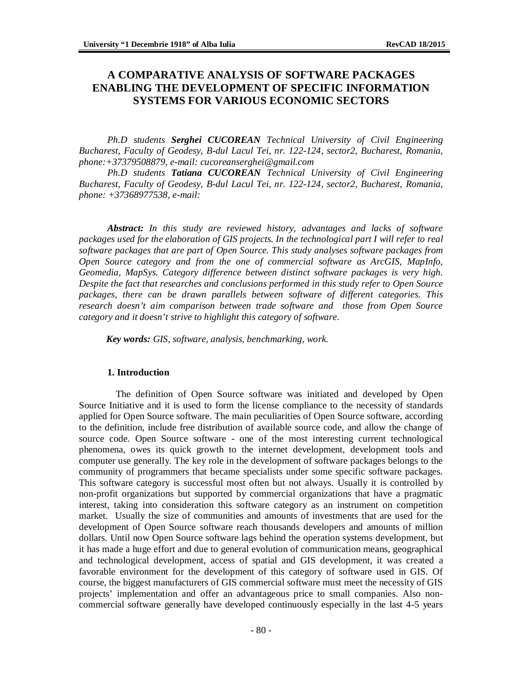# **A COMPARATIVE ANALYSIS OF SOFTWARE PACKAGES ENABLING THE DEVELOPMENT OF SPECIFIC INFORMATION SYSTEMS FOR VARIOUS ECONOMIC SECTORS**

*Ph.D students Serghei CUCOREAN Technical University of Civil Engineering Bucharest, Faculty of Geodesy, B-dul Lacul Tei, nr. 122-124, sector2, Bucharest, Romania, phone:+37379508879, e-mail: [cucoreanserghei@gmail.com](mailto:cucoreanserghei@gmail.com)* 

*Ph.D students Tatiana CUCOREAN Technical University of Civil Engineering Bucharest, Faculty of Geodesy, B-dul Lacul Tei, nr. 122-124, sector2, Bucharest, Romania, phone: +37368977538, e-mail:* 

*Abstract: In this study are reviewed history, advantages and lacks of software packages used for the elaboration of GIS projects. In the technological part I will refer to real software packages that are part of Open Source. This study analyses software packages from Open Source category and from the one of commercial software as ArcGIS, MapInfo, Geomedia, MapSys. Category difference between distinct software packages is very high. Despite the fact that researches and conclusions performed in this study refer to Open Source packages, there can be drawn parallels between software of different categories. This research doesn't aim comparison between trade software and those from Open Source category and it doesn't strive to highlight this category of software*.

*Key words: GIS, software, analysis, benchmarking, work.* 

#### **1. Introduction**

The definition of Open Source software was initiated and developed by Open Source Initiative and it is used to form the license compliance to the necessity of standards applied for Open Source software. The main peculiarities of Open Source software, according to the definition, include free distribution of available source code, and allow the change of source code. Open Source software - one of the most interesting current technological phenomena, owes its quick growth to the internet development, development tools and computer use generally. The key role in the development of software packages belongs to the community of programmers that became specialists under some specific software packages. This software category is successful most often but not always. Usually it is controlled by non-profit organizations but supported by commercial organizations that have a pragmatic interest, taking into consideration this software category as an instrument on competition market. Usually the size of communities and amounts of investments that are used for the development of Open Source software reach thousands developers and amounts of million dollars. Until now Open Source software lags behind the operation systems development, but it has made a huge effort and due to general evolution of communication means, geographical and technological development, access of spatial and GIS development, it was created a favorable environment for the development of this category of software used in GIS. Of course, the biggest manufacturers of GIS commercial software must meet the necessity of GIS projects' implementation and offer an advantageous price to small companies. Also noncommercial software generally have developed continuously especially in the last 4-5 years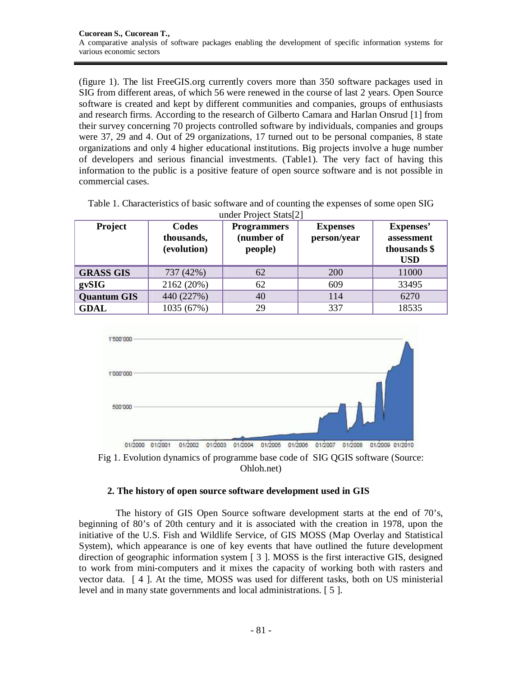(figure 1). The list FreeGIS.org currently covers more than 350 software packages used in SIG from different areas, of which 56 were renewed in the course of last 2 years. Open Source software is created and kept by different communities and companies, groups of enthusiasts and research firms. According to the research of Gilberto Camara and Harlan Onsrud [1] from their survey concerning 70 projects controlled software by individuals, companies and groups were 37, 29 and 4. Out of 29 organizations, 17 turned out to be personal companies, 8 state organizations and only 4 higher educational institutions. Big projects involve a huge number of developers and serious financial investments. (Table1). The very fact of having this information to the public is a positive feature of open source software and is not possible in commercial cases.

| Project            | Codes<br>thousands,<br>(evolution) | <b>Programmers</b><br>(number of<br>people) | <b>Expenses</b><br>person/year | Expenses'<br>assessment<br>thousands \$<br><b>USD</b> |
|--------------------|------------------------------------|---------------------------------------------|--------------------------------|-------------------------------------------------------|
| <b>GRASS GIS</b>   | 737 (42%)                          | 62                                          | 200                            | 11000                                                 |
| gvSIG              | 2162 (20%)                         | 62                                          | 609                            | 33495                                                 |
| <b>Quantum GIS</b> | 440 (227%)                         | 40                                          | 114                            | 6270                                                  |
| <b>GDAL</b>        | 1035 (67%)                         | 29                                          | 337                            | 18535                                                 |

| Table 1. Characteristics of basic software and of counting the expenses of some open SIG |                                    |  |
|------------------------------------------------------------------------------------------|------------------------------------|--|
|                                                                                          | under Project Stats <sup>[2]</sup> |  |





# **2. The history of open source software development used in GIS**

The history of GIS Open Source software development starts at the end of 70's, beginning of 80's of 20th century and it is associated with the creation in 1978, upon the initiative of the U.S. Fish and Wildlife Service, of GIS MOSS (Map Overlay and Statistical System), which appearance is one of key events that have outlined the future development direction of geographic information system [ 3 ]. MOSS is the first interactive GIS, designed to work from mini-computers and it mixes the capacity of working both with rasters and vector data. [ 4 ]. At the time, MOSS was used for different tasks, both on US ministerial level and in many state governments and local administrations. [ 5 ].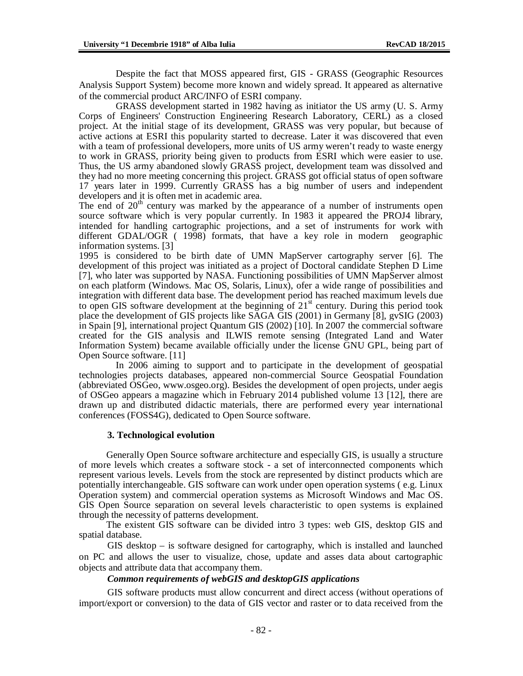Despite the fact that MOSS appeared first, GIS - GRASS (Geographic Resources Analysis Support System) become more known and widely spread. It appeared as alternative of the commercial product ARC/INFO of ESRI company.

GRASS development started in 1982 having as initiator the US army (U. S. Army Corps of Engineers' Construction Engineering Research Laboratory, CERL) as a closed project. At the initial stage of its development, GRASS was very popular, but because of active actions at ESRI this popularity started to decrease. Later it was discovered that even with a team of professional developers, more units of US army weren't ready to waste energy to work in GRASS, priority being given to products from ESRI which were easier to use. Thus, the US army abandoned slowly GRASS project, development team was dissolved and they had no more meeting concerning this project. GRASS got official status of open software 17 years later in 1999. Currently GRASS has a big number of users and independent developers and it is often met in academic area.

The end of  $20<sup>th</sup>$  century was marked by the appearance of a number of instruments open source software which is very popular currently. In 1983 it appeared the PROJ4 library, intended for handling cartographic projections, and a set of instruments for work with different GDAL/OGR ( 1998) formats, that have a key role in modern geographic information systems. [3]

1995 is considered to be birth date of UMN MapServer cartography server [6]. The development of this project was initiated as a project of Doctoral candidate Stephen D Lime [7], who later was supported by NASA. Functioning possibilities of UMN MapServer almost on each platform (Windows. Mac OS, Solaris, Linux), ofer a wide range of possibilities and integration with different data base. The development period has reached maximum levels due to open GIS software development at the beginning of  $21<sup>st</sup>$  century. During this period took place the development of GIS projects like SAGA GIS (2001) in Germany [8],  $\frac{\text{eV}}{\text{SIG}}$  (2003) in Spain [9], international project Quantum GIS (2002) [10]. In 2007 the commercial software created for the GIS analysis and ILWIS remote sensing (Integrated Land and Water Information System) became available officially under the license GNU GPL, being part of Open Source software. [11]

In 2006 aiming to support and to participate in the development of geospatial technologies projects databases, appeared non-commercial Source Geospatial Foundation (abbreviated OSGeo, [www.osgeo.org\).](http://www.osgeo.org).) Besides the development of open projects, under aegis of OSGeo appears a magazine which in February 2014 published volume 13 [12], there are drawn up and distributed didactic materials, there are performed every year international conferences (FOSS4G), dedicated to Open Source software.

#### **3. Technological evolution**

Generally Open Source software architecture and especially GIS, is usually a structure of more levels which creates a software stock - a set of interconnected components which represent various levels. Levels from the stock are represented by distinct products which are potentially interchangeable. GIS software can work under open operation systems ( e.g. Linux Operation system) and commercial operation systems as Microsoft Windows and Mac OS. GIS Open Source separation on several levels characteristic to open systems is explained through the necessity of patterns development.

The existent GIS software can be divided intro 3 types: web GIS, desktop GIS and spatial database.

GIS desktop – is software designed for cartography, which is installed and launched on PC and allows the user to visualize, chose, update and asses data about cartographic objects and attribute data that accompany them.

# *Common requirements of webGIS and desktopGIS applications*

GIS software products must allow concurrent and direct access (without operations of import/export or conversion) to the data of GIS vector and raster or to data received from the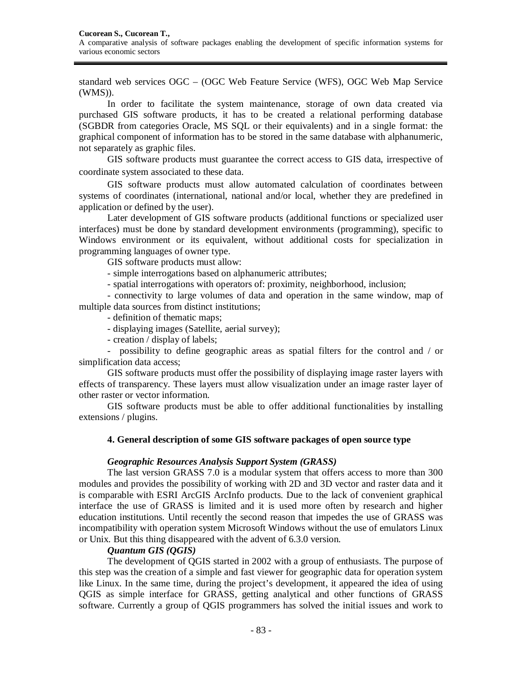standard web services OGC – (OGC Web Feature Service (WFS), OGC Web Map Service (WMS)).

In order to facilitate the system maintenance, storage of own data created via purchased GIS software products, it has to be created a relational performing database (SGBDR from categories Oracle, MS SQL or their equivalents) and in a single format: the graphical component of information has to be stored in the same database with alphanumeric, not separately as graphic files.

GIS software products must guarantee the correct access to GIS data, irrespective of coordinate system associated to these data.

GIS software products must allow automated calculation of coordinates between systems of coordinates (international, national and/or local, whether they are predefined in application or defined by the user).

Later development of GIS software products (additional functions or specialized user interfaces) must be done by standard development environments (programming), specific to Windows environment or its equivalent, without additional costs for specialization in programming languages of owner type.

GIS software products must allow:

- simple interrogations based on alphanumeric attributes;

- spatial interrogations with operators of: proximity, neighborhood, inclusion;

- connectivity to large volumes of data and operation in the same window, map of multiple data sources from distinct institutions;

- definition of thematic maps;

- displaying images (Satellite, aerial survey);

- creation / display of labels;

- possibility to define geographic areas as spatial filters for the control and / or simplification data access;

GIS software products must offer the possibility of displaying image raster layers with effects of transparency. These layers must allow visualization under an image raster layer of other raster or vector information.

GIS software products must be able to offer additional functionalities by installing extensions / plugins.

# **4. General description of some GIS software packages of open source type**

#### *Geographic Resources Analysis Support System (GRASS)*

The last version GRASS 7.0 is a modular system that offers access to more than 300 modules and provides the possibility of working with 2D and 3D vector and raster data and it is comparable with ESRI ArcGIS ArcInfo products. Due to the lack of convenient graphical interface the use of GRASS is limited and it is used more often by research and higher education institutions. Until recently the second reason that impedes the use of GRASS was incompatibility with operation system Microsoft Windows without the use of emulators Linux or Unix. But this thing disappeared with the advent of 6.3.0 version.

# *Quantum GIS (QGIS)*

The development of QGIS started in 2002 with a group of enthusiasts. The purpose of this step was the creation of a simple and fast viewer for geographic data for operation system like Linux. In the same time, during the project's development, it appeared the idea of using QGIS as simple interface for GRASS, getting analytical and other functions of GRASS software. Currently a group of QGIS programmers has solved the initial issues and work to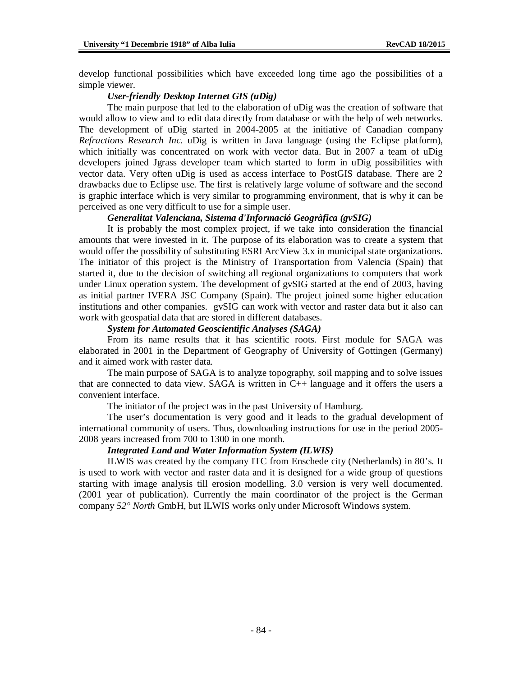develop functional possibilities which have exceeded long time ago the possibilities of a simple viewer.

#### *User-friendly Desktop Internet GIS (uDig)*

The main purpose that led to the elaboration of uDig was the creation of software that would allow to view and to edit data directly from database or with the help of web networks. The development of uDig started in 2004-2005 at the initiative of Canadian company *Refractions Research Inc*. uDig is written in Java language (using the Eclipse platform), which initially was concentrated on work with vector data. But in 2007 a team of uDig developers joined Jgrass developer team which started to form in uDig possibilities with vector data. Very often uDig is used as access interface to PostGIS database. There are 2 drawbacks due to Eclipse use. The first is relatively large volume of software and the second is graphic interface which is very similar to programming environment, that is why it can be perceived as one very difficult to use for a simple user.

# *Generalitat Valenciana, Sistema d'Informació Geogràfica (gvSIG)*

It is probably the most complex project, if we take into consideration the financial amounts that were invested in it. The purpose of its elaboration was to create a system that would offer the possibility of substituting ESRI ArcView 3.x in municipal state organizations. The initiator of this project is the Ministry of Transportation from Valencia (Spain) that started it, due to the decision of switching all regional organizations to computers that work under Linux operation system. The development of gvSIG started at the end of 2003, having as initial partner IVERA JSC Company (Spain). The project joined some higher education institutions and other companies. gvSIG can work with vector and raster data but it also can work with geospatial data that are stored in different databases.

### *System for Automated Geoscientific Analyses (SAGA)*

From its name results that it has scientific roots. First module for SAGA was elaborated in 2001 in the Department of Geography of University of Gottingen (Germany) and it aimed work with raster data.

The main purpose of SAGA is to analyze topography, soil mapping and to solve issues that are connected to data view. SAGA is written in C++ language and it offers the users a convenient interface.

The initiator of the project was in the past University of Hamburg.

The user's documentation is very good and it leads to the gradual development of international community of users. Thus, downloading instructions for use in the period 2005- 2008 years increased from 700 to 1300 in one month.

#### *Integrated Land and Water Information System (ILWIS)*

ILWIS was created by the company ITC from Enschede city (Netherlands) in 80's. It is used to work with vector and raster data and it is designed for a wide group of questions starting with image analysis till erosion modelling. 3.0 version is very well documented. (2001 year of publication). Currently the main coordinator of the project is the German company *52° North* GmbH, but ILWIS works only under Microsoft Windows system.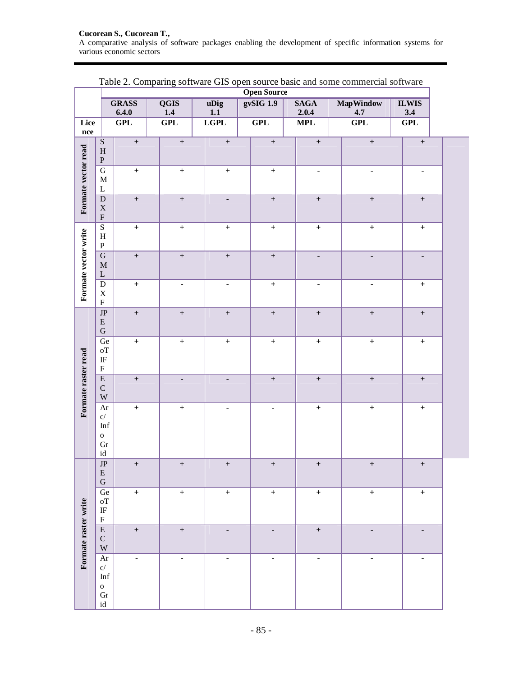#### **Cucorean S., Cucorean T.,**  A comparative analysis of software packages enabling the development of specific information systems for various economic sectors

|                      | $\ddotsc$<br>$\cdot$ . $\cdot$<br>$-$ - $   -$<br>-~<br>$\cdots$<br>$\sim$ $\sim$ $\sim$ $\sim$<br><b>Open Source</b> |                  |                          |                                                      |  |                              |                                  |            |                                  |  |                                  |  |
|----------------------|-----------------------------------------------------------------------------------------------------------------------|------------------|--------------------------|------------------------------------------------------|--|------------------------------|----------------------------------|------------|----------------------------------|--|----------------------------------|--|
|                      |                                                                                                                       | <b>GRASS</b>     | <b>QGIS</b>              | gvSIG 1.9<br><b>SAGA</b><br>uDig<br><b>MapWindow</b> |  |                              | <b>ILWIS</b>                     |            |                                  |  |                                  |  |
| Lice                 |                                                                                                                       | 6.4.0<br>GPL     | 1.4<br>GPL               | 1.1<br><b>LGPL</b>                                   |  | GPL                          | 2.0.4<br>$\overline{\text{MPL}}$ | 4.7<br>GPL |                                  |  | $3.4\,$<br>GPL                   |  |
| $\bf nce$            |                                                                                                                       |                  |                          |                                                      |  |                              |                                  |            |                                  |  |                                  |  |
|                      | $\overline{\mathbf{S}}$<br>$\, {\rm H}$<br>$\, {\bf P}$                                                               | $\boldsymbol{+}$ | $\boldsymbol{+}$         | $\boldsymbol{+}$                                     |  | $\boldsymbol{+}$             | $\boldsymbol{+}$                 |            | $\boldsymbol{+}$                 |  | $\boldsymbol{+}$                 |  |
| Formate vector read  | $\overline{\mathbf{G}}$<br>$\mathbf M$<br>$\Gamma$                                                                    | $\boldsymbol{+}$ | $\boldsymbol{+}$         | $\boldsymbol{+}$                                     |  | $\boldsymbol{+}$             | $\blacksquare$                   |            | $\overline{\phantom{a}}$         |  | $\blacksquare$                   |  |
|                      | ${\bf D}$<br>$\mathbf X$<br>$\boldsymbol{\mathrm{F}}$                                                                 | $\boldsymbol{+}$ | $\boldsymbol{+}$         | $\blacksquare$                                       |  | $\boldsymbol{+}$             | $\boldsymbol{+}$                 |            | $\boldsymbol{+}$                 |  | $\boldsymbol{+}$                 |  |
|                      | $\overline{S}$<br>$\, {\rm H}$<br>${\bf P}$                                                                           | $\boldsymbol{+}$ | $\boldsymbol{+}$         | $\boldsymbol{+}$                                     |  | $\boldsymbol{+}$             | $\boldsymbol{+}$                 |            | $\boldsymbol{+}$                 |  | $\boldsymbol{+}$                 |  |
| Formate vector write | $\overline{G}$<br>$\mathbf M$<br>$\mathbf L$                                                                          | $\boldsymbol{+}$ | $\boldsymbol{+}$         | $\boldsymbol{+}$                                     |  | $\boldsymbol{+}$             | $\overline{\phantom{a}}$         |            | $\qquad \qquad \blacksquare$     |  | $\blacksquare$                   |  |
|                      | ${\bf D}$<br>$\mathbf X$<br>${\bf F}$                                                                                 | $\boldsymbol{+}$ | $\overline{\phantom{a}}$ | $\qquad \qquad \blacksquare$                         |  | $\boldsymbol{+}$             | $\blacksquare$                   |            |                                  |  | $\begin{array}{c} + \end{array}$ |  |
|                      | $\overline{\text{JP}}$<br>${\bf E}$<br>${\bf G}$                                                                      | $\boldsymbol{+}$ | $\boldsymbol{+}$         | $\boldsymbol{+}$                                     |  | $\boldsymbol{+}$             | $\boldsymbol{+}$                 |            | $\boldsymbol{+}$                 |  | $\boldsymbol{+}$                 |  |
|                      | $\overline{\mathrm{Ge}}$<br>$\sigma T$<br>$\rm I\!F$<br>$\boldsymbol{\mathrm{F}}$                                     | $\boldsymbol{+}$ | $\boldsymbol{+}$         | $\boldsymbol{+}$                                     |  | $\boldsymbol{+}$             | $\boldsymbol{+}$                 |            | $\boldsymbol{+}$                 |  | $\boldsymbol{+}$                 |  |
| Formate raster read  | $\overline{\text{E}}$<br>${\bf C}$<br>$\mathbf W$                                                                     | $\boldsymbol{+}$ | $\overline{\phantom{a}}$ | $\blacksquare$                                       |  | $\boldsymbol{+}$             | $\boldsymbol{+}$                 |            | $\qquad \qquad +$                |  | $\boldsymbol{+}$                 |  |
|                      | $\rm Ar$<br>$\mathbf{C}/% \mathbf{C}$<br>$\mathop{\rm Inf}$<br>$\mathbf{o}$<br>${\rm Gr}$<br>$\operatorname{id}$      | $\boldsymbol{+}$ | $\qquad \qquad +$        |                                                      |  |                              | $\boldsymbol{+}$                 |            | $\begin{array}{c} + \end{array}$ |  | $\boldsymbol{+}$                 |  |
|                      | $\overline{\text{JP}}$<br>${\bf E}$<br>${\bf G}$                                                                      | $\boldsymbol{+}$ | $\boldsymbol{+}$         | $\qquad \qquad +$                                    |  | $\boldsymbol{+}$             | $\boldsymbol{+}$                 |            | $\begin{array}{c} + \end{array}$ |  | $\qquad \qquad +$                |  |
|                      | Ge<br>oT<br>$\rm I\!F$<br>$\rm F$                                                                                     | $\boldsymbol{+}$ | $\ddot{}$                | $\boldsymbol{+}$                                     |  | $\boldsymbol{+}$             | $\boldsymbol{+}$                 |            | $\begin{array}{c} + \end{array}$ |  | $\boldsymbol{+}$                 |  |
| Formate raster write | $\overline{E}$<br>${\bf C}$<br>W                                                                                      | $\boldsymbol{+}$ | $\qquad \qquad +$        | $\overline{\phantom{0}}$                             |  | $\overline{\phantom{0}}$     | $\boldsymbol{+}$                 |            | $\overline{\phantom{a}}$         |  | $\qquad \qquad \blacksquare$     |  |
|                      | Ar<br>$\mathbf{C}/% \mathbf{C}$<br>Inf<br>${\bf O}$<br>Gr<br>$\operatorname{id}$                                      | -                | $\overline{\phantom{a}}$ | $\blacksquare$                                       |  | $\qquad \qquad \blacksquare$ | $\blacksquare$                   |            | $\qquad \qquad \blacksquare$     |  | $\blacksquare$                   |  |

| Table 2. Comparing software GIS open source basic and some commercial software |  |  |
|--------------------------------------------------------------------------------|--|--|
|--------------------------------------------------------------------------------|--|--|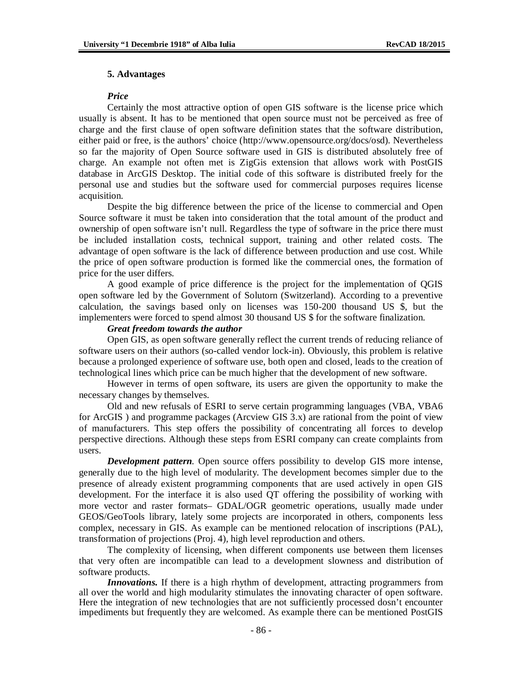#### **5. Advantages**

#### *Price*

Certainly the most attractive option of open GIS software is the license price which usually is absent. It has to be mentioned that open source must not be perceived as free of charge and the first clause of open software definition states that the software distribution, either paid or free, is the authors' choice ([http://www.opensource.org/docs/osd\).](http://www.opensource.org/docs/osd).) Nevertheless so far the majority of Open Source software used in GIS is distributed absolutely free of charge. An example not often met is ZigGis extension that allows work with PostGIS database in ArcGIS Desktop. The initial code of this software is distributed freely for the personal use and studies but the software used for commercial purposes requires license acquisition.

Despite the big difference between the price of the license to commercial and Open Source software it must be taken into consideration that the total amount of the product and ownership of open software isn't null. Regardless the type of software in the price there must be included installation costs, technical support, training and other related costs. The advantage of open software is the lack of difference between production and use cost. While the price of open software production is formed like the commercial ones, the formation of price for the user differs.

A good example of price difference is the project for the implementation of QGIS open software led by the Government of Solutorn (Switzerland). According to a preventive calculation, the savings based only on licenses was 150-200 thousand US \$, but the implementers were forced to spend almost 30 thousand US \$ for the software finalization.

### *Great freedom towards the author*

Open GIS, as open software generally reflect the current trends of reducing reliance of software users on their authors (so-called vendor lock-in). Obviously, this problem is relative because a prolonged experience of software use, both open and closed, leads to the creation of technological lines which price can be much higher that the development of new software.

However in terms of open software, its users are given the opportunity to make the necessary changes by themselves.

Old and new refusals of ESRI to serve certain programming languages (VBA, VBA6 for ArcGIS ) and programme packages (Arcview GIS 3.x) are rational from the point of view of manufacturers. This step offers the possibility of concentrating all forces to develop perspective directions. Although these steps from ESRI company can create complaints from users.

*Development pattern*. Open source offers possibility to develop GIS more intense, generally due to the high level of modularity. The development becomes simpler due to the presence of already existent programming components that are used actively in open GIS development. For the interface it is also used QT offering the possibility of working with more vector and raster formats– GDAL/OGR geometric operations, usually made under GEOS/GeoTools library, lately some projects are incorporated in others, components less complex, necessary in GIS. As example can be mentioned relocation of inscriptions (PAL), transformation of projections (Proj. 4), high level reproduction and others.

The complexity of licensing, when different components use between them licenses that very often are incompatible can lead to a development slowness and distribution of software products.

*Innovations*. If there is a high rhythm of development, attracting programmers from all over the world and high modularity stimulates the innovating character of open software. Here the integration of new technologies that are not sufficiently processed dosn't encounter impediments but frequently they are welcomed. As example there can be mentioned PostGIS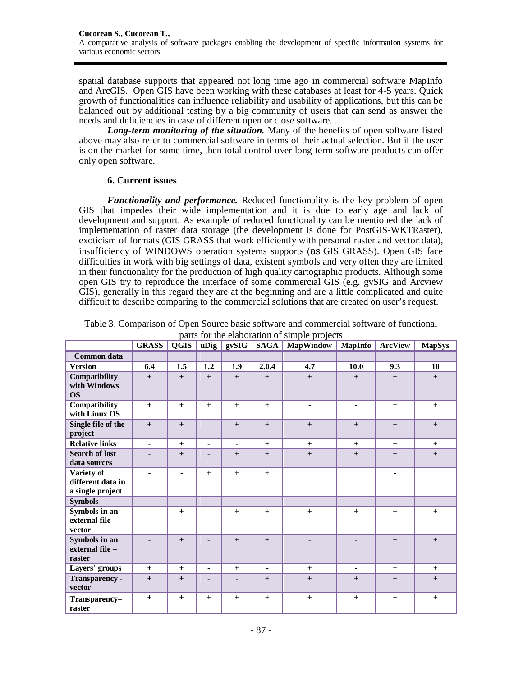spatial database supports that appeared not long time ago in commercial software MapInfo and ArcGIS. Open GIS have been working with these databases at least for 4-5 years. Quick growth of functionalities can influence reliability and usability of applications, but this can be balanced out by additional testing by a big community of users that can send as answer the needs and deficiencies in case of different open or close software. .

*Long-term monitoring of the situation.* Many of the benefits of open software listed above may also refer to commercial software in terms of their actual selection. But if the user is on the market for some time, then total control over long-term software products can offer only open software.

# **6. Current issues**

*Functionality and performance.* Reduced functionality is the key problem of open GIS that impedes their wide implementation and it is due to early age and lack of development and support. As example of reduced functionality can be mentioned the lack of implementation of raster data storage (the development is done for PostGIS-WKTRaster), exoticism of formats (GIS GRASS that work efficiently with personal raster and vector data), insufficiency of WINDOWS operation systems supports (as GIS GRASS). Open GIS face difficulties in work with big settings of data, existent symbols and very often they are limited in their functionality for the production of high quality cartographic products. Although some open GIS try to reproduce the interface of some commercial GIS (e.g. gvSIG and Arcview GIS), generally in this regard they are at the beginning and are a little complicated and quite difficult to describe comparing to the commercial solutions that are created on user's request.

|                                                     | <b>GRASS</b>   | QGIS           | uDig                     | gxSIG          | <b>SAGA</b>    | <b>MapWindow</b> | <b>MapInfo</b> | <b>ArcView</b> | <b>MapSys</b> |
|-----------------------------------------------------|----------------|----------------|--------------------------|----------------|----------------|------------------|----------------|----------------|---------------|
| Common data                                         |                |                |                          |                |                |                  |                |                |               |
| <b>Version</b>                                      | 6.4            | 1.5            | 1.2                      | 1.9            | 2.0.4          | 4.7              | 10.0           | 9.3            | 10            |
| Compatibility<br>with Windows<br><b>OS</b>          | $+$            | $+$            | $+$                      | $+$            | $+$            | $+$              | $+$            | $+$            | $+$           |
| Compatibility<br>with Linux OS                      | $+$            | $+$            | $+$                      | $+$            | $+$            | $\blacksquare$   | $\blacksquare$ | $+$            | $+$           |
| Single file of the<br>project                       | $+$            | $+$            | $\blacksquare$           | $+$            | $+$            | $+$              | $+$            | $+$            | $+$           |
| <b>Relative links</b>                               | $\blacksquare$ | $+$            | $\overline{\phantom{0}}$ | $\blacksquare$ | $+$            | $+$              | $+$            | $+$            | $+$           |
| <b>Search of lost</b><br>data sources               |                | $+$            | -                        | $+$            | $+$            | $+$              | $+$            | $+$            | $+$           |
| Variety of<br>different data in<br>a single project | $\blacksquare$ | $\blacksquare$ | $+$                      | $+$            | $+$            |                  |                | $\blacksquare$ |               |
| <b>Symbols</b>                                      |                |                |                          |                |                |                  |                |                |               |
| Symbols in an<br>external file -<br>vector          |                | $+$            | $\blacksquare$           | $+$            | $+$            | $+$              | $+$            | $+$            | $+$           |
| Symbols in an<br>external file -<br>raster          |                | $+$            | $\blacksquare$           | $+$            | $+$            | $\blacksquare$   | $\overline{a}$ | $+$            | $+$           |
| Layers' groups                                      | $+$            | $+$            | $\blacksquare$           | $+$            | $\blacksquare$ | $+$              | $\blacksquare$ | $+$            | $+$           |
| Transparency -<br>vector                            | $+$            | $+$            |                          |                | $+$            | $+$              | $+$            | $+$            | $+$           |
| Transparency-<br>raster                             | $+$            | $+$            | $+$                      | $+$            | $+$            | $+$              | $+$            | $+$            | $+$           |

Table 3. Comparison of Open Source basic software and commercial software of functional parts for the elaboration of simple projects